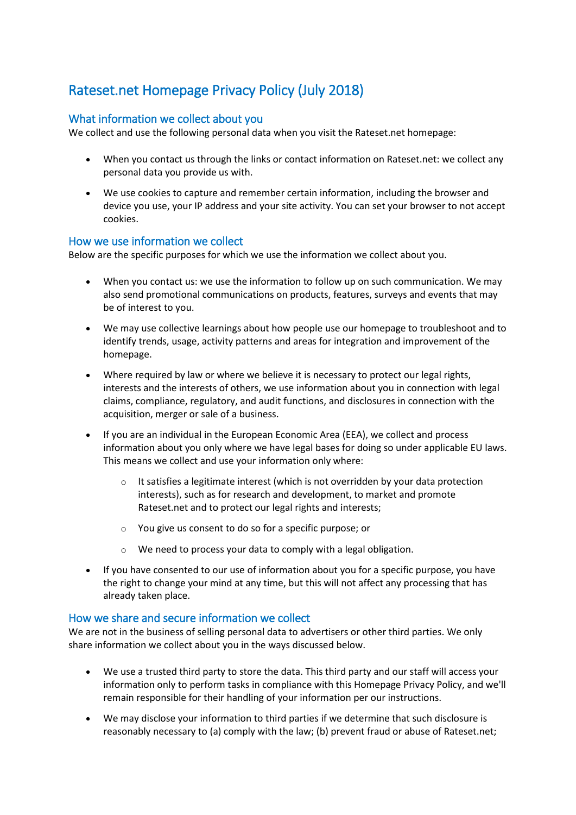# Rateset.net Homepage Privacy Policy (July 2018)

# What information we collect about you

We collect and use the following personal data when you visit the Rateset.net homepage:

- When you contact us through the links or contact information on Rateset.net: we collect any personal data you provide us with.
- We use cookies to capture and remember certain information, including the browser and device you use, your IP address and your site activity. You can set your browser to not accept cookies.

## How we use information we collect

Below are the specific purposes for which we use the information we collect about you.

- When you contact us: we use the information to follow up on such communication. We may also send promotional communications on products, features, surveys and events that may be of interest to you.
- We may use collective learnings about how people use our homepage to troubleshoot and to identify trends, usage, activity patterns and areas for integration and improvement of the homepage.
- Where required by law or where we believe it is necessary to protect our legal rights, interests and the interests of others, we use information about you in connection with legal claims, compliance, regulatory, and audit functions, and disclosures in connection with the acquisition, merger or sale of a business.
- If you are an individual in the European Economic Area (EEA), we collect and process information about you only where we have legal bases for doing so under applicable EU laws. This means we collect and use your information only where:
	- o It satisfies a legitimate interest (which is not overridden by your data protection interests), such as for research and development, to market and promote Rateset.net and to protect our legal rights and interests;
	- o You give us consent to do so for a specific purpose; or
	- o We need to process your data to comply with a legal obligation.
- If you have consented to our use of information about you for a specific purpose, you have the right to change your mind at any time, but this will not affect any processing that has already taken place.

## How we share and secure information we collect

We are not in the business of selling personal data to advertisers or other third parties. We only share information we collect about you in the ways discussed below.

- We use a trusted third party to store the data. This third party and our staff will access your information only to perform tasks in compliance with this Homepage Privacy Policy, and we'll remain responsible for their handling of your information per our instructions.
- We may disclose your information to third parties if we determine that such disclosure is reasonably necessary to (a) comply with the law; (b) prevent fraud or abuse of Rateset.net;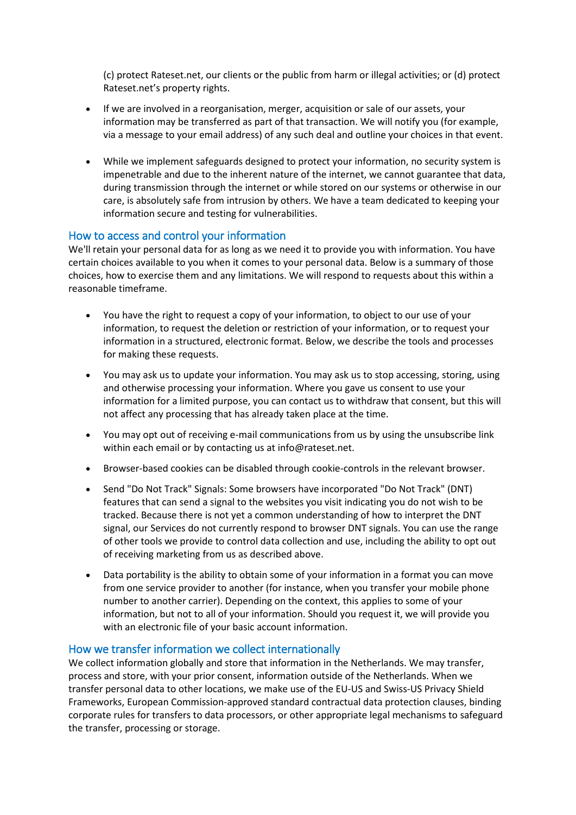(c) protect Rateset.net, our clients or the public from harm or illegal activities; or (d) protect Rateset.net's property rights.

- If we are involved in a reorganisation, merger, acquisition or sale of our assets, your information may be transferred as part of that transaction. We will notify you (for example, via a message to your email address) of any such deal and outline your choices in that event.
- While we implement safeguards designed to protect your information, no security system is impenetrable and due to the inherent nature of the internet, we cannot guarantee that data, during transmission through the internet or while stored on our systems or otherwise in our care, is absolutely safe from intrusion by others. We have a team dedicated to keeping your information secure and testing for vulnerabilities.

# How to access and control your information

We'll retain your personal data for as long as we need it to provide you with information. You have certain choices available to you when it comes to your personal data. Below is a summary of those choices, how to exercise them and any limitations. We will respond to requests about this within a reasonable timeframe.

- You have the right to request a copy of your information, to object to our use of your information, to request the deletion or restriction of your information, or to request your information in a structured, electronic format. Below, we describe the tools and processes for making these requests.
- You may ask us to update your information. You may ask us to stop accessing, storing, using and otherwise processing your information. Where you gave us consent to use your information for a limited purpose, you can contact us to withdraw that consent, but this will not affect any processing that has already taken place at the time.
- You may opt out of receiving e-mail communications from us by using the unsubscribe link within each email or by contacting us at info@rateset.net.
- Browser-based cookies can be disabled through cookie-controls in the relevant browser.
- Send "Do Not Track" Signals: Some browsers have incorporated "Do Not Track" (DNT) features that can send a signal to the websites you visit indicating you do not wish to be tracked. Because there is not yet a common understanding of how to interpret the DNT signal, our Services do not currently respond to browser DNT signals. You can use the range of other tools we provide to control data collection and use, including the ability to opt out of receiving marketing from us as described above.
- Data portability is the ability to obtain some of your information in a format you can move from one service provider to another (for instance, when you transfer your mobile phone number to another carrier). Depending on the context, this applies to some of your information, but not to all of your information. Should you request it, we will provide you with an electronic file of your basic account information.

## How we transfer information we collect internationally

We collect information globally and store that information in the Netherlands. We may transfer, process and store, with your prior consent, information outside of the Netherlands. When we transfer personal data to other locations, we make use of the EU-US and Swiss-US Privacy Shield Frameworks, European Commission-approved standard contractual data protection clauses, binding corporate rules for transfers to data processors, or other appropriate legal mechanisms to safeguard the transfer, processing or storage.